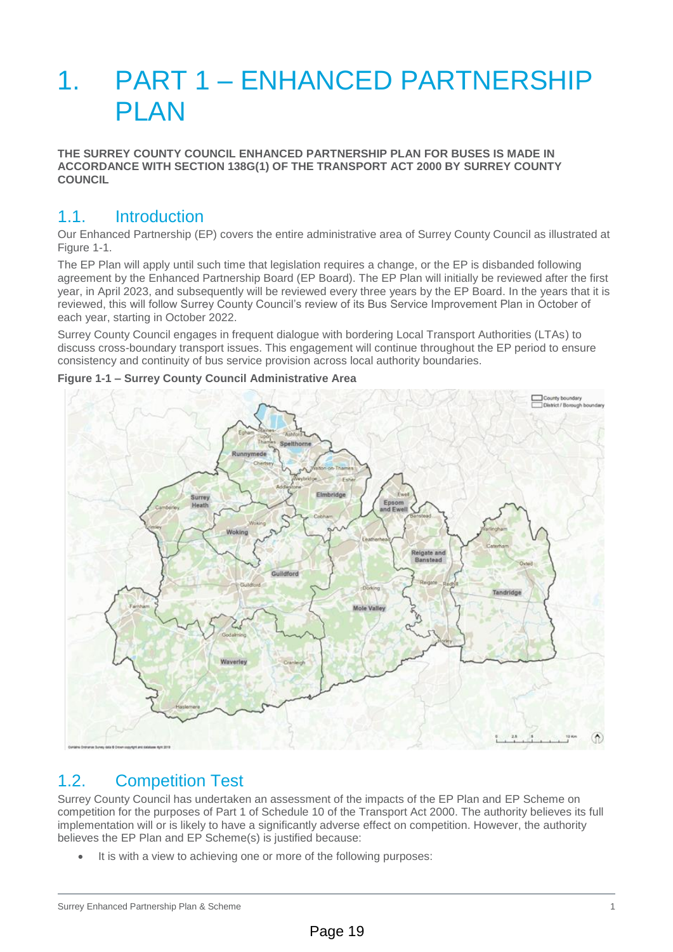# 1. PART 1 – ENHANCED PARTNERSHIP **PLAN**

**THE SURREY COUNTY COUNCIL ENHANCED PARTNERSHIP PLAN FOR BUSES IS MADE IN ACCORDANCE WITH SECTION 138G(1) OF THE TRANSPORT ACT 2000 BY SURREY COUNTY COUNCIL** 

# 1.1. Introduction

Our Enhanced Partnership (EP) covers the entire administrative area of Surrey County Council as illustrated at Figure 1-1.

The EP Plan will apply until such time that legislation requires a change, or the EP is disbanded following agreement by the Enhanced Partnership Board (EP Board). The EP Plan will initially be reviewed after the first year, in April 2023, and subsequently will be reviewed every three years by the EP Board. In the years that it is reviewed, this will follow Surrey County Council's review of its Bus Service Improvement Plan in October of each year, starting in October 2022.

Surrey County Council engages in frequent dialogue with bordering Local Transport Authorities (LTAs) to discuss cross-boundary transport issues. This engagement will continue throughout the EP period to ensure consistency and continuity of bus service provision across local authority boundaries.



#### **Figure 1-1 – Surrey County Council Administrative Area**

# 1.2. Competition Test

Surrey County Council has undertaken an assessment of the impacts of the EP Plan and EP Scheme on competition for the purposes of Part 1 of Schedule 10 of the Transport Act 2000. The authority believes its full implementation will or is likely to have a significantly adverse effect on competition. However, the authority believes the EP Plan and EP Scheme(s) is justified because:

It is with a view to achieving one or more of the following purposes: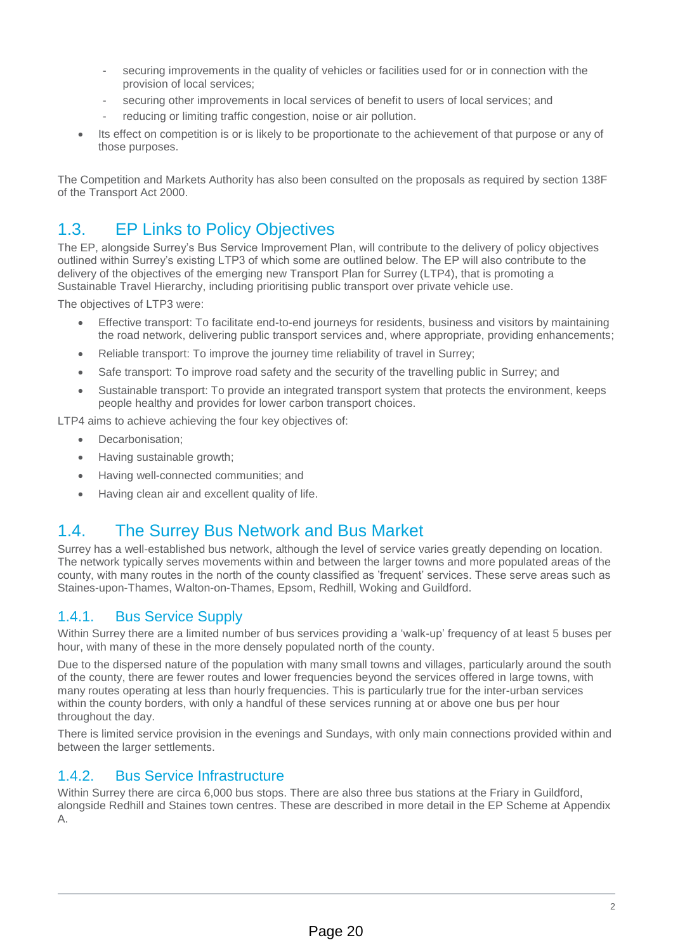- securing improvements in the quality of vehicles or facilities used for or in connection with the provision of local services;
- securing other improvements in local services of benefit to users of local services; and
- reducing or limiting traffic congestion, noise or air pollution.
- Its effect on competition is or is likely to be proportionate to the achievement of that purpose or any of those purposes.

The Competition and Markets Authority has also been consulted on the proposals as required by section 138F of the Transport Act 2000.

# 1.3. EP Links to Policy Objectives

The EP, alongside Surrey's Bus Service Improvement Plan, will contribute to the delivery of policy objectives outlined within Surrey's existing LTP3 of which some are outlined below. The EP will also contribute to the delivery of the objectives of the emerging new Transport Plan for Surrey (LTP4), that is promoting a Sustainable Travel Hierarchy, including prioritising public transport over private vehicle use.

The objectives of LTP3 were:

- Effective transport: To facilitate end-to-end journeys for residents, business and visitors by maintaining the road network, delivering public transport services and, where appropriate, providing enhancements;
- Reliable transport: To improve the journey time reliability of travel in Surrey;
- Safe transport: To improve road safety and the security of the travelling public in Surrey; and
- Sustainable transport: To provide an integrated transport system that protects the environment, keeps people healthy and provides for lower carbon transport choices.

LTP4 aims to achieve achieving the four key objectives of:

- Decarbonisation;
- Having sustainable growth;
- Having well-connected communities; and
- Having clean air and excellent quality of life.

# 1.4. The Surrey Bus Network and Bus Market

Surrey has a well-established bus network, although the level of service varies greatly depending on location. The network typically serves movements within and between the larger towns and more populated areas of the county, with many routes in the north of the county classified as 'frequent' services. These serve areas such as Staines-upon-Thames, Walton-on-Thames, Epsom, Redhill, Woking and Guildford.

## 1.4.1. Bus Service Supply

Within Surrey there are a limited number of bus services providing a 'walk-up' frequency of at least 5 buses per hour, with many of these in the more densely populated north of the county.

Due to the dispersed nature of the population with many small towns and villages, particularly around the south of the county, there are fewer routes and lower frequencies beyond the services offered in large towns, with many routes operating at less than hourly frequencies. This is particularly true for the inter-urban services within the county borders, with only a handful of these services running at or above one bus per hour throughout the day.

There is limited service provision in the evenings and Sundays, with only main connections provided within and between the larger settlements.

## 1.4.2. Bus Service Infrastructure

Within Surrey there are circa 6,000 bus stops. There are also three bus stations at the Friary in Guildford, alongside Redhill and Staines town centres. These are described in more detail in the EP Scheme at Appendix A.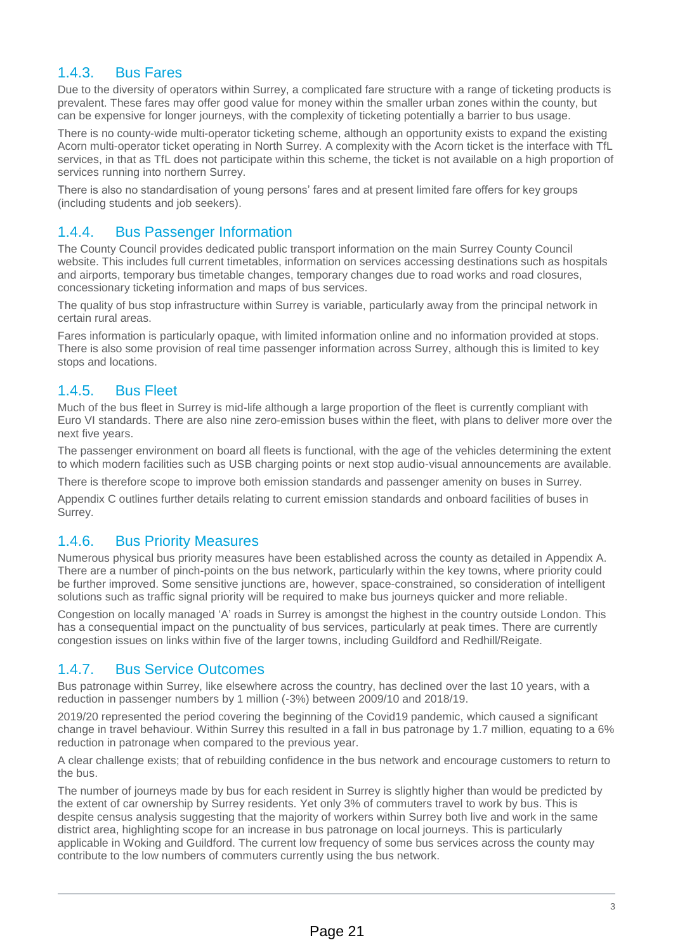## 1.4.3. Bus Fares

Due to the diversity of operators within Surrey, a complicated fare structure with a range of ticketing products is prevalent. These fares may offer good value for money within the smaller urban zones within the county, but can be expensive for longer journeys, with the complexity of ticketing potentially a barrier to bus usage.

There is no county-wide multi-operator ticketing scheme, although an opportunity exists to expand the existing Acorn multi-operator ticket operating in North Surrey. A complexity with the Acorn ticket is the interface with TfL services, in that as TfL does not participate within this scheme, the ticket is not available on a high proportion of services running into northern Surrey.

There is also no standardisation of young persons' fares and at present limited fare offers for key groups (including students and job seekers).

# 1.4.4. Bus Passenger Information

The County Council provides dedicated public transport information on the main Surrey County Council website. This includes full current timetables, information on services accessing destinations such as hospitals and airports, temporary bus timetable changes, temporary changes due to road works and road closures, concessionary ticketing information and maps of bus services.

The quality of bus stop infrastructure within Surrey is variable, particularly away from the principal network in certain rural areas.

Fares information is particularly opaque, with limited information online and no information provided at stops. There is also some provision of real time passenger information across Surrey, although this is limited to key stops and locations.

## 1.4.5. Bus Fleet

Much of the bus fleet in Surrey is mid-life although a large proportion of the fleet is currently compliant with Euro VI standards. There are also nine zero-emission buses within the fleet, with plans to deliver more over the next five years.

The passenger environment on board all fleets is functional, with the age of the vehicles determining the extent to which modern facilities such as USB charging points or next stop audio-visual announcements are available.

There is therefore scope to improve both emission standards and passenger amenity on buses in Surrey.

Appendix C outlines further details relating to current emission standards and onboard facilities of buses in Surrey.

## 1.4.6. Bus Priority Measures

Numerous physical bus priority measures have been established across the county as detailed in Appendix A. There are a number of pinch-points on the bus network, particularly within the key towns, where priority could be further improved. Some sensitive junctions are, however, space-constrained, so consideration of intelligent solutions such as traffic signal priority will be required to make bus journeys quicker and more reliable.

Congestion on locally managed 'A' roads in Surrey is amongst the highest in the country outside London. This has a consequential impact on the punctuality of bus services, particularly at peak times. There are currently congestion issues on links within five of the larger towns, including Guildford and Redhill/Reigate.

## 1.4.7. Bus Service Outcomes

Bus patronage within Surrey, like elsewhere across the country, has declined over the last 10 years, with a reduction in passenger numbers by 1 million (-3%) between 2009/10 and 2018/19.

2019/20 represented the period covering the beginning of the Covid19 pandemic, which caused a significant change in travel behaviour. Within Surrey this resulted in a fall in bus patronage by 1.7 million, equating to a 6% reduction in patronage when compared to the previous year.

A clear challenge exists; that of rebuilding confidence in the bus network and encourage customers to return to the bus.

The number of journeys made by bus for each resident in Surrey is slightly higher than would be predicted by the extent of car ownership by Surrey residents. Yet only 3% of commuters travel to work by bus. This is despite census analysis suggesting that the majority of workers within Surrey both live and work in the same district area, highlighting scope for an increase in bus patronage on local journeys. This is particularly applicable in Woking and Guildford. The current low frequency of some bus services across the county may contribute to the low numbers of commuters currently using the bus network.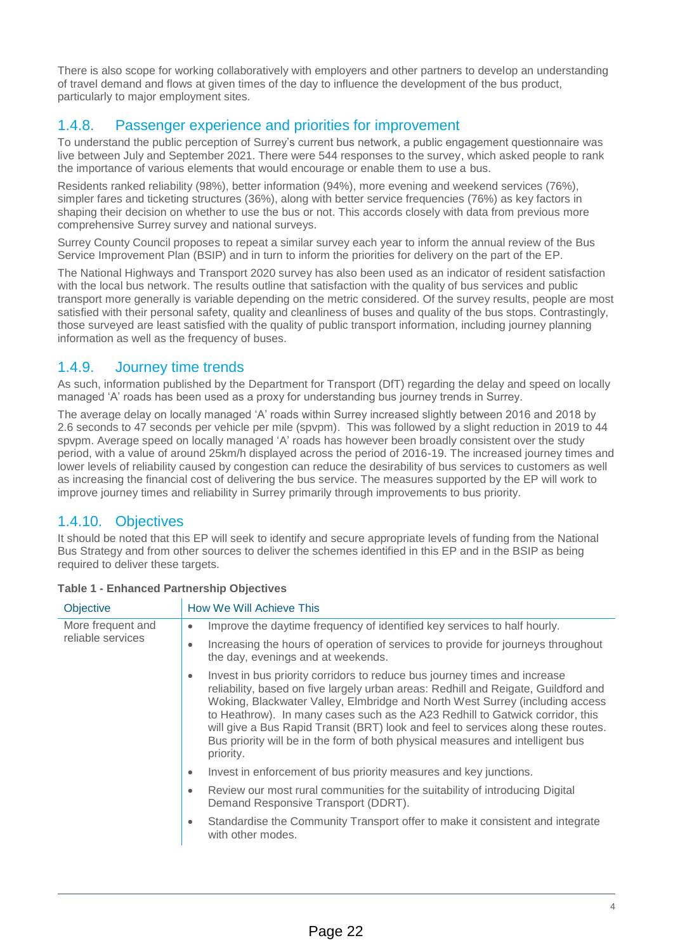There is also scope for working collaboratively with employers and other partners to develop an understanding of travel demand and flows at given times of the day to influence the development of the bus product, particularly to major employment sites.

## 1.4.8. Passenger experience and priorities for improvement

To understand the public perception of Surrey's current bus network, a public engagement questionnaire was live between July and September 2021. There were 544 responses to the survey, which asked people to rank the importance of various elements that would encourage or enable them to use a bus.

Residents ranked reliability (98%), better information (94%), more evening and weekend services (76%), simpler fares and ticketing structures (36%), along with better service frequencies (76%) as key factors in shaping their decision on whether to use the bus or not. This accords closely with data from previous more comprehensive Surrey survey and national surveys.

Surrey County Council proposes to repeat a similar survey each year to inform the annual review of the Bus Service Improvement Plan (BSIP) and in turn to inform the priorities for delivery on the part of the EP.

The National Highways and Transport 2020 survey has also been used as an indicator of resident satisfaction with the local bus network. The results outline that satisfaction with the quality of bus services and public transport more generally is variable depending on the metric considered. Of the survey results, people are most satisfied with their personal safety, quality and cleanliness of buses and quality of the bus stops. Contrastingly, those surveyed are least satisfied with the quality of public transport information, including journey planning information as well as the frequency of buses.

## 1.4.9. Journey time trends

As such, information published by the Department for Transport (DfT) regarding the delay and speed on locally managed 'A' roads has been used as a proxy for understanding bus journey trends in Surrey.

The average delay on locally managed 'A' roads within Surrey increased slightly between 2016 and 2018 by 2.6 seconds to 47 seconds per vehicle per mile (spvpm). This was followed by a slight reduction in 2019 to 44 spvpm. Average speed on locally managed 'A' roads has however been broadly consistent over the study period, with a value of around 25km/h displayed across the period of 2016-19. The increased journey times and lower levels of reliability caused by congestion can reduce the desirability of bus services to customers as well as increasing the financial cost of delivering the bus service. The measures supported by the EP will work to improve journey times and reliability in Surrey primarily through improvements to bus priority.

# 1.4.10. Objectives

It should be noted that this EP will seek to identify and secure appropriate levels of funding from the National Bus Strategy and from other sources to deliver the schemes identified in this EP and in the BSIP as being required to deliver these targets.

| <b>Objective</b>                       | How We Will Achieve This                                                                                                                                                                                                                                                                                                                                                                                                                                                                                                  |  |  |  |  |
|----------------------------------------|---------------------------------------------------------------------------------------------------------------------------------------------------------------------------------------------------------------------------------------------------------------------------------------------------------------------------------------------------------------------------------------------------------------------------------------------------------------------------------------------------------------------------|--|--|--|--|
| More frequent and<br>reliable services | Improve the daytime frequency of identified key services to half hourly.<br>$\bullet$                                                                                                                                                                                                                                                                                                                                                                                                                                     |  |  |  |  |
|                                        | Increasing the hours of operation of services to provide for journeys throughout<br>٠<br>the day, evenings and at weekends.                                                                                                                                                                                                                                                                                                                                                                                               |  |  |  |  |
|                                        | Invest in bus priority corridors to reduce bus journey times and increase<br>٠<br>reliability, based on five largely urban areas: Redhill and Reigate, Guildford and<br>Woking, Blackwater Valley, Elmbridge and North West Surrey (including access<br>to Heathrow). In many cases such as the A23 Redhill to Gatwick corridor, this<br>will give a Bus Rapid Transit (BRT) look and feel to services along these routes.<br>Bus priority will be in the form of both physical measures and intelligent bus<br>priority. |  |  |  |  |
|                                        | Invest in enforcement of bus priority measures and key junctions.<br>٠                                                                                                                                                                                                                                                                                                                                                                                                                                                    |  |  |  |  |
|                                        | Review our most rural communities for the suitability of introducing Digital<br>٠<br>Demand Responsive Transport (DDRT).                                                                                                                                                                                                                                                                                                                                                                                                  |  |  |  |  |
|                                        | Standardise the Community Transport offer to make it consistent and integrate<br>with other modes.                                                                                                                                                                                                                                                                                                                                                                                                                        |  |  |  |  |
|                                        |                                                                                                                                                                                                                                                                                                                                                                                                                                                                                                                           |  |  |  |  |

### **Table 1 - Enhanced Partnership Objectives**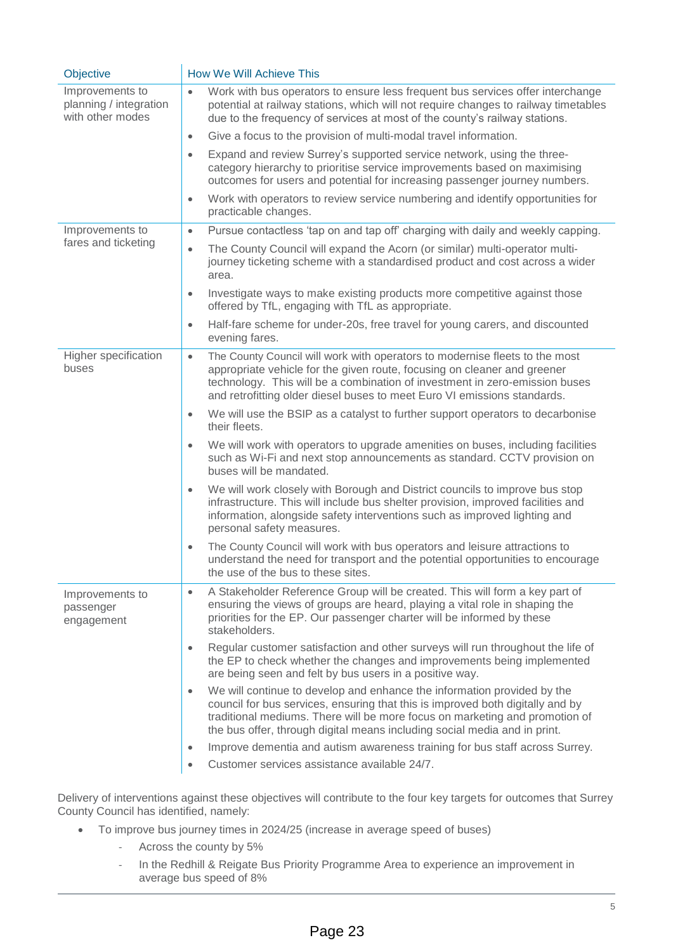| Objective                                                     | How We Will Achieve This                                                                                                                                                                                                                                                                                                           |  |  |  |  |
|---------------------------------------------------------------|------------------------------------------------------------------------------------------------------------------------------------------------------------------------------------------------------------------------------------------------------------------------------------------------------------------------------------|--|--|--|--|
| Improvements to<br>planning / integration<br>with other modes | Work with bus operators to ensure less frequent bus services offer interchange<br>$\bullet$<br>potential at railway stations, which will not require changes to railway timetables<br>due to the frequency of services at most of the county's railway stations.                                                                   |  |  |  |  |
|                                                               | Give a focus to the provision of multi-modal travel information.<br>$\bullet$                                                                                                                                                                                                                                                      |  |  |  |  |
|                                                               | Expand and review Surrey's supported service network, using the three-<br>$\bullet$<br>category hierarchy to prioritise service improvements based on maximising<br>outcomes for users and potential for increasing passenger journey numbers.                                                                                     |  |  |  |  |
|                                                               | Work with operators to review service numbering and identify opportunities for<br>$\bullet$<br>practicable changes.                                                                                                                                                                                                                |  |  |  |  |
| Improvements to                                               | Pursue contactless 'tap on and tap off' charging with daily and weekly capping.<br>$\bullet$                                                                                                                                                                                                                                       |  |  |  |  |
| fares and ticketing                                           | The County Council will expand the Acorn (or similar) multi-operator multi-<br>$\bullet$<br>journey ticketing scheme with a standardised product and cost across a wider<br>area.                                                                                                                                                  |  |  |  |  |
|                                                               | Investigate ways to make existing products more competitive against those<br>$\bullet$<br>offered by TfL, engaging with TfL as appropriate.                                                                                                                                                                                        |  |  |  |  |
|                                                               | Half-fare scheme for under-20s, free travel for young carers, and discounted<br>۰<br>evening fares.                                                                                                                                                                                                                                |  |  |  |  |
| Higher specification<br>buses                                 | The County Council will work with operators to modernise fleets to the most<br>$\bullet$<br>appropriate vehicle for the given route, focusing on cleaner and greener<br>technology. This will be a combination of investment in zero-emission buses<br>and retrofitting older diesel buses to meet Euro VI emissions standards.    |  |  |  |  |
|                                                               | We will use the BSIP as a catalyst to further support operators to decarbonise<br>$\bullet$<br>their fleets.                                                                                                                                                                                                                       |  |  |  |  |
|                                                               | We will work with operators to upgrade amenities on buses, including facilities<br>$\bullet$<br>such as Wi-Fi and next stop announcements as standard. CCTV provision on<br>buses will be mandated.                                                                                                                                |  |  |  |  |
|                                                               | We will work closely with Borough and District councils to improve bus stop<br>$\bullet$<br>infrastructure. This will include bus shelter provision, improved facilities and<br>information, alongside safety interventions such as improved lighting and<br>personal safety measures.                                             |  |  |  |  |
|                                                               | The County Council will work with bus operators and leisure attractions to<br>$\bullet$<br>understand the need for transport and the potential opportunities to encourage<br>the use of the bus to these sites.                                                                                                                    |  |  |  |  |
| Improvements to<br>passenger<br>engagement                    | A Stakeholder Reference Group will be created. This will form a key part of<br>$\bullet$<br>ensuring the views of groups are heard, playing a vital role in shaping the<br>priorities for the EP. Our passenger charter will be informed by these<br>stakeholders.                                                                 |  |  |  |  |
|                                                               | Regular customer satisfaction and other surveys will run throughout the life of<br>$\bullet$<br>the EP to check whether the changes and improvements being implemented<br>are being seen and felt by bus users in a positive way.                                                                                                  |  |  |  |  |
|                                                               | We will continue to develop and enhance the information provided by the<br>$\bullet$<br>council for bus services, ensuring that this is improved both digitally and by<br>traditional mediums. There will be more focus on marketing and promotion of<br>the bus offer, through digital means including social media and in print. |  |  |  |  |
|                                                               | Improve dementia and autism awareness training for bus staff across Surrey.<br>$\bullet$                                                                                                                                                                                                                                           |  |  |  |  |
|                                                               | Customer services assistance available 24/7.<br>$\bullet$                                                                                                                                                                                                                                                                          |  |  |  |  |

Delivery of interventions against these objectives will contribute to the four key targets for outcomes that Surrey County Council has identified, namely:

- To improve bus journey times in 2024/25 (increase in average speed of buses)
	- ‐ Across the county by 5%
	- ‐ In the Redhill & Reigate Bus Priority Programme Area to experience an improvement in average bus speed of 8%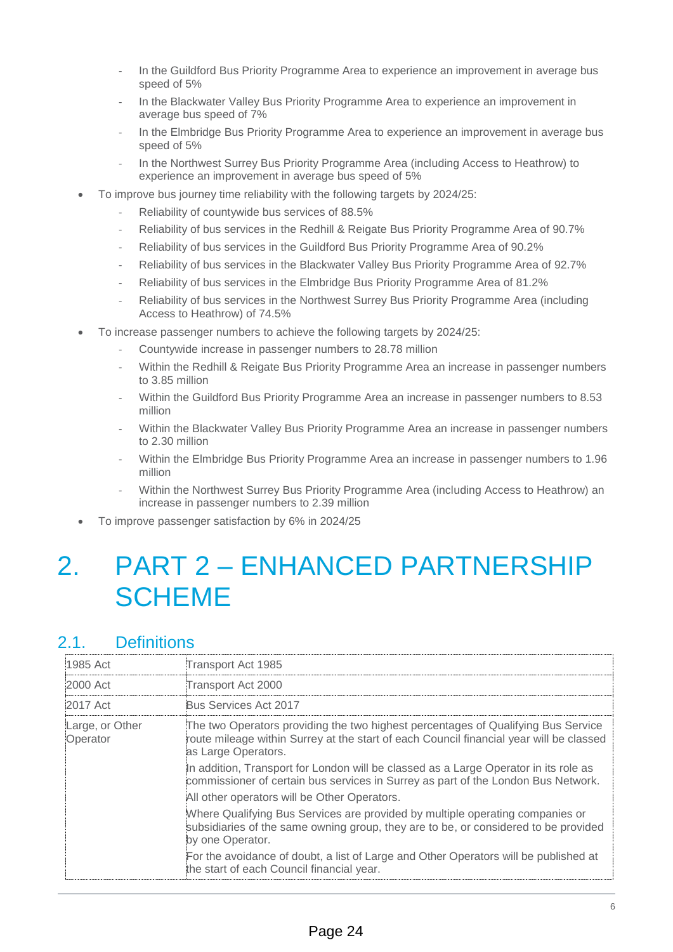- ‐ In the Guildford Bus Priority Programme Area to experience an improvement in average bus speed of 5%
- In the Blackwater Valley Bus Priority Programme Area to experience an improvement in average bus speed of 7%
- ‐ In the Elmbridge Bus Priority Programme Area to experience an improvement in average bus speed of 5%
- In the Northwest Surrey Bus Priority Programme Area (including Access to Heathrow) to experience an improvement in average bus speed of 5%
- To improve bus journey time reliability with the following targets by 2024/25:
	- ‐ Reliability of countywide bus services of 88.5%
	- ‐ Reliability of bus services in the Redhill & Reigate Bus Priority Programme Area of 90.7%
	- ‐ Reliability of bus services in the Guildford Bus Priority Programme Area of 90.2%
	- ‐ Reliability of bus services in the Blackwater Valley Bus Priority Programme Area of 92.7%
	- ‐ Reliability of bus services in the Elmbridge Bus Priority Programme Area of 81.2%
	- ‐ Reliability of bus services in the Northwest Surrey Bus Priority Programme Area (including Access to Heathrow) of 74.5%
- To increase passenger numbers to achieve the following targets by 2024/25:
	- ‐ Countywide increase in passenger numbers to 28.78 million
	- Within the Redhill & Reigate Bus Priority Programme Area an increase in passenger numbers to 3.85 million
	- ‐ Within the Guildford Bus Priority Programme Area an increase in passenger numbers to 8.53 million
	- Within the Blackwater Valley Bus Priority Programme Area an increase in passenger numbers to 2.30 million
	- ‐ Within the Elmbridge Bus Priority Programme Area an increase in passenger numbers to 1.96 million
	- ‐ Within the Northwest Surrey Bus Priority Programme Area (including Access to Heathrow) an increase in passenger numbers to 2.39 million
- To improve passenger satisfaction by 6% in 2024/25

# 2. PART 2 – ENHANCED PARTNERSHIP **SCHEME**

# 2.1. Definitions

| 1985 Act                    | Transport Act 1985                                                                                                                                                                                  |  |  |  |  |  |
|-----------------------------|-----------------------------------------------------------------------------------------------------------------------------------------------------------------------------------------------------|--|--|--|--|--|
| 2000 Act                    | Transport Act 2000                                                                                                                                                                                  |  |  |  |  |  |
| 2017 Act                    | Bus Services Act 2017                                                                                                                                                                               |  |  |  |  |  |
| Large, or Other<br>Operator | The two Operators providing the two highest percentages of Qualifying Bus Service<br>route mileage within Surrey at the start of each Council financial year will be classed<br>as Large Operators. |  |  |  |  |  |
|                             | In addition, Transport for London will be classed as a Large Operator in its role as<br>commissioner of certain bus services in Surrey as part of the London Bus Network.                           |  |  |  |  |  |
|                             | All other operators will be Other Operators.                                                                                                                                                        |  |  |  |  |  |
|                             | Where Qualifying Bus Services are provided by multiple operating companies or<br>subsidiaries of the same owning group, they are to be, or considered to be provided<br>by one Operator.            |  |  |  |  |  |
|                             | For the avoidance of doubt, a list of Large and Other Operators will be published at<br>the start of each Council financial year.                                                                   |  |  |  |  |  |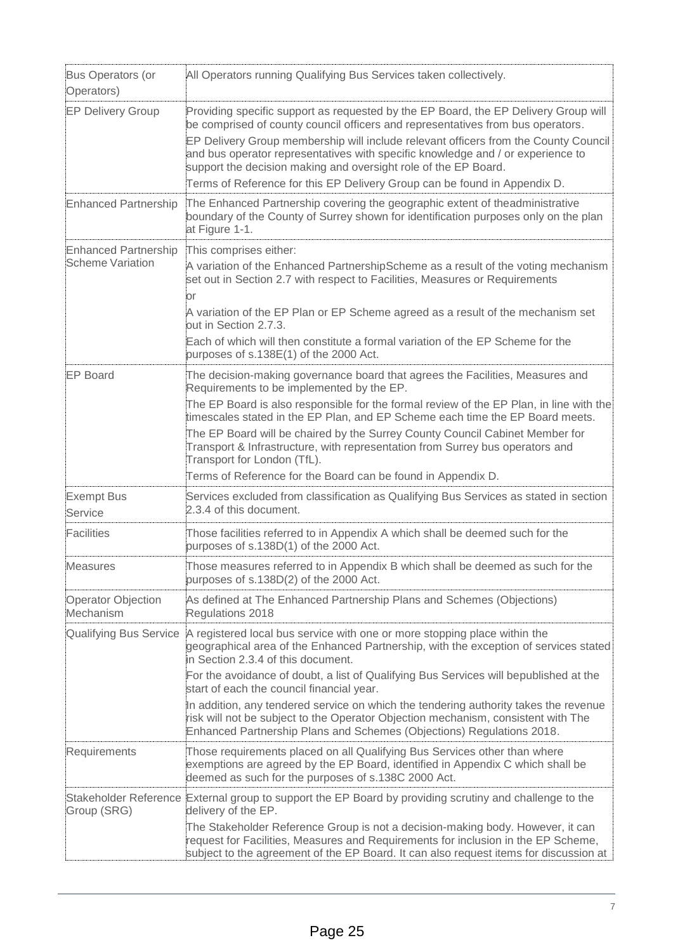| Bus Operators (or<br>Operators)                        | All Operators running Qualifying Bus Services taken collectively.                                                                                                                                                                                            |
|--------------------------------------------------------|--------------------------------------------------------------------------------------------------------------------------------------------------------------------------------------------------------------------------------------------------------------|
| <b>EP Delivery Group</b>                               | Providing specific support as requested by the EP Board, the EP Delivery Group will<br>be comprised of county council officers and representatives from bus operators.                                                                                       |
|                                                        | EP Delivery Group membership will include relevant officers from the County Council<br>and bus operator representatives with specific knowledge and / or experience to<br>support the decision making and oversight role of the EP Board.                    |
|                                                        | Terms of Reference for this EP Delivery Group can be found in Appendix D.                                                                                                                                                                                    |
| <b>Enhanced Partnership</b>                            | The Enhanced Partnership covering the geographic extent of theadministrative<br>boundary of the County of Surrey shown for identification purposes only on the plan<br>at Figure 1-1.                                                                        |
| <b>Enhanced Partnership</b><br><b>Scheme Variation</b> | This comprises either:<br>A variation of the Enhanced PartnershipScheme as a result of the voting mechanism<br>set out in Section 2.7 with respect to Facilities, Measures or Requirements<br>or                                                             |
|                                                        | A variation of the EP Plan or EP Scheme agreed as a result of the mechanism set<br>out in Section 2.7.3.                                                                                                                                                     |
|                                                        | Each of which will then constitute a formal variation of the EP Scheme for the<br>purposes of s.138E(1) of the 2000 Act.                                                                                                                                     |
| <b>EP Board</b>                                        | The decision-making governance board that agrees the Facilities, Measures and<br>Requirements to be implemented by the EP.                                                                                                                                   |
|                                                        | The EP Board is also responsible for the formal review of the EP Plan, in line with the<br>timescales stated in the EP Plan, and EP Scheme each time the EP Board meets.                                                                                     |
|                                                        | The EP Board will be chaired by the Surrey County Council Cabinet Member for<br>Transport & Infrastructure, with representation from Surrey bus operators and<br>Transport for London (TfL).                                                                 |
|                                                        | Terms of Reference for the Board can be found in Appendix D.                                                                                                                                                                                                 |
| <b>Exempt Bus</b><br>Service                           | Services excluded from classification as Qualifying Bus Services as stated in section<br>2.3.4 of this document.                                                                                                                                             |
| Facilities                                             | Those facilities referred to in Appendix A which shall be deemed such for the<br>purposes of s.138D(1) of the 2000 Act.                                                                                                                                      |
| Measures                                               | Those measures referred to in Appendix B which shall be deemed as such for the<br>purposes of s.138D(2) of the 2000 Act.                                                                                                                                     |
| Operator Objection<br>Mechanism                        | As defined at The Enhanced Partnership Plans and Schemes (Objections)<br>Regulations 2018                                                                                                                                                                    |
| Qualifying Bus Service                                 | A registered local bus service with one or more stopping place within the<br>geographical area of the Enhanced Partnership, with the exception of services stated<br>in Section 2.3.4 of this document.                                                      |
|                                                        | For the avoidance of doubt, a list of Qualifying Bus Services will bepublished at the<br>start of each the council financial year.                                                                                                                           |
|                                                        | In addition, any tendered service on which the tendering authority takes the revenue<br>risk will not be subject to the Operator Objection mechanism, consistent with The<br>Enhanced Partnership Plans and Schemes (Objections) Regulations 2018.           |
| Requirements                                           | Those requirements placed on all Qualifying Bus Services other than where<br>exemptions are agreed by the EP Board, identified in Appendix C which shall be<br>deemed as such for the purposes of s.138C 2000 Act.                                           |
| Group (SRG)                                            | Stakeholder Reference External group to support the EP Board by providing scrutiny and challenge to the<br>delivery of the EP.                                                                                                                               |
|                                                        | The Stakeholder Reference Group is not a decision-making body. However, it can<br>request for Facilities, Measures and Requirements for inclusion in the EP Scheme,<br>subject to the agreement of the EP Board. It can also request items for discussion at |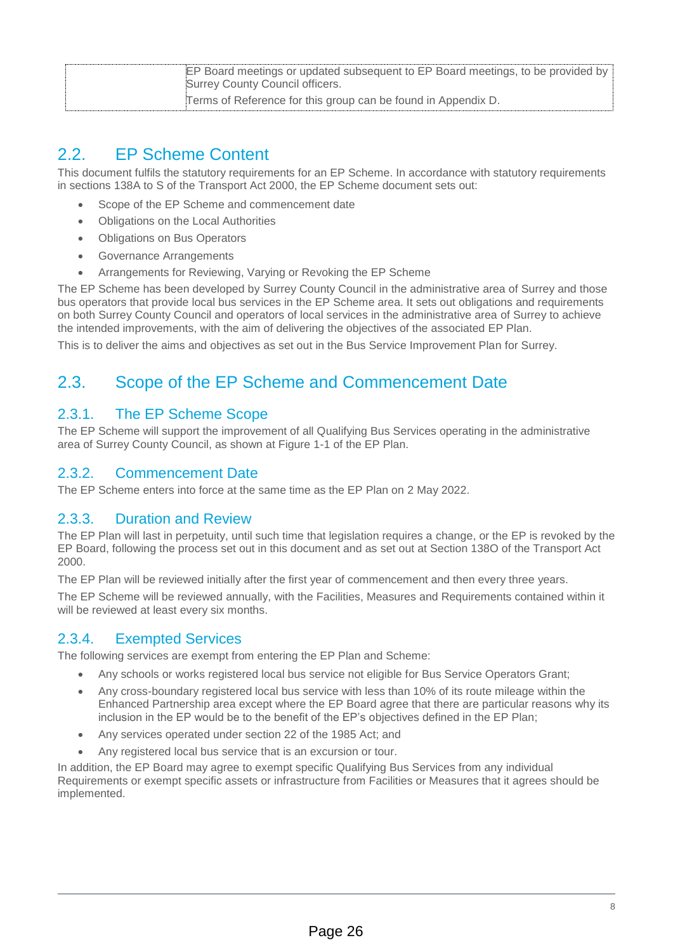| EP Board meetings or updated subsequent to EP Board meetings, to be provided by<br>Surrey County Council officers. |
|--------------------------------------------------------------------------------------------------------------------|
| Terms of Reference for this group can be found in Appendix D.                                                      |

# 2.2. EP Scheme Content

This document fulfils the statutory requirements for an EP Scheme. In accordance with statutory requirements in sections 138A to S of the Transport Act 2000, the EP Scheme document sets out:

- Scope of the EP Scheme and commencement date
- Obligations on the Local Authorities
- Obligations on Bus Operators
- Governance Arrangements
- Arrangements for Reviewing, Varying or Revoking the EP Scheme

The EP Scheme has been developed by Surrey County Council in the administrative area of Surrey and those bus operators that provide local bus services in the EP Scheme area. It sets out obligations and requirements on both Surrey County Council and operators of local services in the administrative area of Surrey to achieve the intended improvements, with the aim of delivering the objectives of the associated EP Plan.

This is to deliver the aims and objectives as set out in the Bus Service Improvement Plan for Surrey.

# 2.3. Scope of the EP Scheme and Commencement Date

## 2.3.1. The EP Scheme Scope

The EP Scheme will support the improvement of all Qualifying Bus Services operating in the administrative area of Surrey County Council, as shown at Figure 1-1 of the EP Plan.

## 2.3.2. Commencement Date

The EP Scheme enters into force at the same time as the EP Plan on 2 May 2022.

## 2.3.3. Duration and Review

The EP Plan will last in perpetuity, until such time that legislation requires a change, or the EP is revoked by the EP Board, following the process set out in this document and as set out at Section 138O of the Transport Act 2000.

The EP Plan will be reviewed initially after the first year of commencement and then every three years.

The EP Scheme will be reviewed annually, with the Facilities, Measures and Requirements contained within it will be reviewed at least every six months.

## 2.3.4. Exempted Services

The following services are exempt from entering the EP Plan and Scheme:

- Any schools or works registered local bus service not eligible for Bus Service Operators Grant;
- Any cross-boundary registered local bus service with less than 10% of its route mileage within the Enhanced Partnership area except where the EP Board agree that there are particular reasons why its inclusion in the EP would be to the benefit of the EP's objectives defined in the EP Plan;
- Any services operated under section 22 of the 1985 Act; and
- Any registered local bus service that is an excursion or tour.

In addition, the EP Board may agree to exempt specific Qualifying Bus Services from any individual Requirements or exempt specific assets or infrastructure from Facilities or Measures that it agrees should be implemented.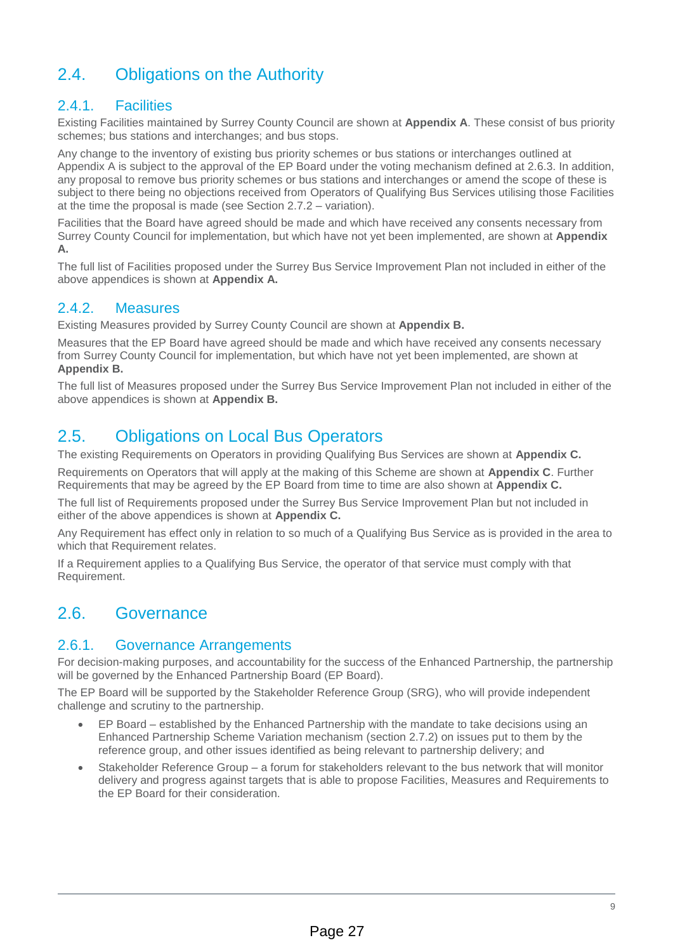# 2.4. Obligations on the Authority

## 2.4.1. Facilities

Existing Facilities maintained by Surrey County Council are shown at **Appendix A**. These consist of bus priority schemes; bus stations and interchanges; and bus stops.

Any change to the inventory of existing bus priority schemes or bus stations or interchanges outlined at Appendix A is subject to the approval of the EP Board under the voting mechanism defined at 2.6.3. In addition, any proposal to remove bus priority schemes or bus stations and interchanges or amend the scope of these is subject to there being no objections received from Operators of Qualifying Bus Services utilising those Facilities at the time the proposal is made (see Section 2.7.2 – variation).

Facilities that the Board have agreed should be made and which have received any consents necessary from Surrey County Council for implementation, but which have not yet been implemented, are shown at **Appendix A.**

The full list of Facilities proposed under the Surrey Bus Service Improvement Plan not included in either of the above appendices is shown at **Appendix A.**

## 2.4.2. Measures

Existing Measures provided by Surrey County Council are shown at **Appendix B.**

Measures that the EP Board have agreed should be made and which have received any consents necessary from Surrey County Council for implementation, but which have not yet been implemented, are shown at **Appendix B.**

The full list of Measures proposed under the Surrey Bus Service Improvement Plan not included in either of the above appendices is shown at **Appendix B.**

# 2.5. Obligations on Local Bus Operators

The existing Requirements on Operators in providing Qualifying Bus Services are shown at **Appendix C.**

Requirements on Operators that will apply at the making of this Scheme are shown at **Appendix C**. Further Requirements that may be agreed by the EP Board from time to time are also shown at **Appendix C.**

The full list of Requirements proposed under the Surrey Bus Service Improvement Plan but not included in either of the above appendices is shown at **Appendix C.**

Any Requirement has effect only in relation to so much of a Qualifying Bus Service as is provided in the area to which that Requirement relates.

If a Requirement applies to a Qualifying Bus Service, the operator of that service must comply with that Requirement.

# 2.6. Governance

## 2.6.1. Governance Arrangements

For decision-making purposes, and accountability for the success of the Enhanced Partnership, the partnership will be governed by the Enhanced Partnership Board (EP Board).

The EP Board will be supported by the Stakeholder Reference Group (SRG), who will provide independent challenge and scrutiny to the partnership.

- EP Board established by the Enhanced Partnership with the mandate to take decisions using an Enhanced Partnership Scheme Variation mechanism (section 2.7.2) on issues put to them by the reference group, and other issues identified as being relevant to partnership delivery; and
- Stakeholder Reference Group a forum for stakeholders relevant to the bus network that will monitor delivery and progress against targets that is able to propose Facilities, Measures and Requirements to the EP Board for their consideration.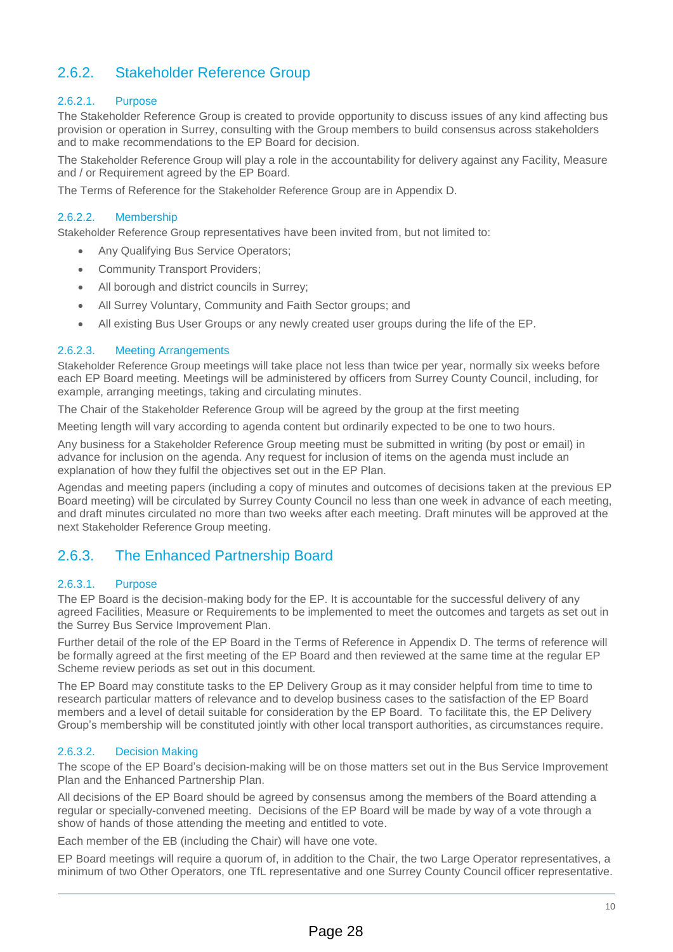# 2.6.2. Stakeholder Reference Group

### 2.6.2.1. Purpose

The Stakeholder Reference Group is created to provide opportunity to discuss issues of any kind affecting bus provision or operation in Surrey, consulting with the Group members to build consensus across stakeholders and to make recommendations to the EP Board for decision.

The Stakeholder Reference Group will play a role in the accountability for delivery against any Facility, Measure and / or Requirement agreed by the EP Board.

The Terms of Reference for the Stakeholder Reference Group are in Appendix D.

#### 2.6.2.2. Membership

Stakeholder Reference Group representatives have been invited from, but not limited to:

- Any Qualifying Bus Service Operators;
- Community Transport Providers;
- All borough and district councils in Surrey;
- All Surrey Voluntary, Community and Faith Sector groups; and
- All existing Bus User Groups or any newly created user groups during the life of the EP.

#### 2.6.2.3. Meeting Arrangements

Stakeholder Reference Group meetings will take place not less than twice per year, normally six weeks before each EP Board meeting. Meetings will be administered by officers from Surrey County Council, including, for example, arranging meetings, taking and circulating minutes.

The Chair of the Stakeholder Reference Group will be agreed by the group at the first meeting

Meeting length will vary according to agenda content but ordinarily expected to be one to two hours.

Any business for a Stakeholder Reference Group meeting must be submitted in writing (by post or email) in advance for inclusion on the agenda. Any request for inclusion of items on the agenda must include an explanation of how they fulfil the objectives set out in the EP Plan.

Agendas and meeting papers (including a copy of minutes and outcomes of decisions taken at the previous EP Board meeting) will be circulated by Surrey County Council no less than one week in advance of each meeting, and draft minutes circulated no more than two weeks after each meeting. Draft minutes will be approved at the next Stakeholder Reference Group meeting.

## 2.6.3. The Enhanced Partnership Board

#### 2.6.3.1. Purpose

The EP Board is the decision-making body for the EP. It is accountable for the successful delivery of any agreed Facilities, Measure or Requirements to be implemented to meet the outcomes and targets as set out in the Surrey Bus Service Improvement Plan.

Further detail of the role of the EP Board in the Terms of Reference in Appendix D. The terms of reference will be formally agreed at the first meeting of the EP Board and then reviewed at the same time at the regular EP Scheme review periods as set out in this document.

The EP Board may constitute tasks to the EP Delivery Group as it may consider helpful from time to time to research particular matters of relevance and to develop business cases to the satisfaction of the EP Board members and a level of detail suitable for consideration by the EP Board. To facilitate this, the EP Delivery Group's membership will be constituted jointly with other local transport authorities, as circumstances require.

#### 2.6.3.2. Decision Making

The scope of the EP Board's decision-making will be on those matters set out in the Bus Service Improvement Plan and the Enhanced Partnership Plan.

All decisions of the EP Board should be agreed by consensus among the members of the Board attending a regular or specially-convened meeting. Decisions of the EP Board will be made by way of a vote through a show of hands of those attending the meeting and entitled to vote.

Each member of the EB (including the Chair) will have one vote.

EP Board meetings will require a quorum of, in addition to the Chair, the two Large Operator representatives, a minimum of two Other Operators, one TfL representative and one Surrey County Council officer representative.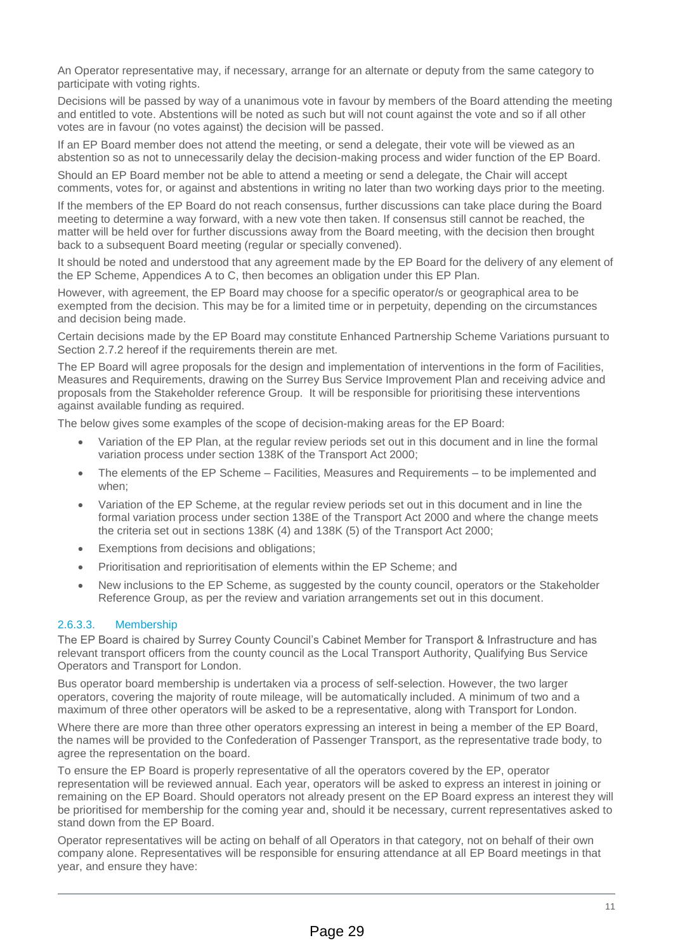An Operator representative may, if necessary, arrange for an alternate or deputy from the same category to participate with voting rights.

Decisions will be passed by way of a unanimous vote in favour by members of the Board attending the meeting and entitled to vote. Abstentions will be noted as such but will not count against the vote and so if all other votes are in favour (no votes against) the decision will be passed.

If an EP Board member does not attend the meeting, or send a delegate, their vote will be viewed as an abstention so as not to unnecessarily delay the decision-making process and wider function of the EP Board.

Should an EP Board member not be able to attend a meeting or send a delegate, the Chair will accept comments, votes for, or against and abstentions in writing no later than two working days prior to the meeting.

If the members of the EP Board do not reach consensus, further discussions can take place during the Board meeting to determine a way forward, with a new vote then taken. If consensus still cannot be reached, the matter will be held over for further discussions away from the Board meeting, with the decision then brought back to a subsequent Board meeting (regular or specially convened).

It should be noted and understood that any agreement made by the EP Board for the delivery of any element of the EP Scheme, Appendices A to C, then becomes an obligation under this EP Plan.

However, with agreement, the EP Board may choose for a specific operator/s or geographical area to be exempted from the decision. This may be for a limited time or in perpetuity, depending on the circumstances and decision being made.

Certain decisions made by the EP Board may constitute Enhanced Partnership Scheme Variations pursuant to Section 2.7.2 hereof if the requirements therein are met.

The EP Board will agree proposals for the design and implementation of interventions in the form of Facilities, Measures and Requirements, drawing on the Surrey Bus Service Improvement Plan and receiving advice and proposals from the Stakeholder reference Group. It will be responsible for prioritising these interventions against available funding as required.

The below gives some examples of the scope of decision-making areas for the EP Board:

- Variation of the EP Plan, at the regular review periods set out in this document and in line the formal variation process under section 138K of the Transport Act 2000;
- The elements of the EP Scheme Facilities, Measures and Requirements to be implemented and when;
- Variation of the EP Scheme, at the regular review periods set out in this document and in line the formal variation process under section 138E of the Transport Act 2000 and where the change meets the criteria set out in sections 138K (4) and 138K (5) of the Transport Act 2000;
- Exemptions from decisions and obligations;
- Prioritisation and reprioritisation of elements within the EP Scheme; and
- New inclusions to the EP Scheme, as suggested by the county council, operators or the Stakeholder Reference Group, as per the review and variation arrangements set out in this document.

#### 2.6.3.3. Membership

The EP Board is chaired by Surrey County Council's Cabinet Member for Transport & Infrastructure and has relevant transport officers from the county council as the Local Transport Authority, Qualifying Bus Service Operators and Transport for London.

Bus operator board membership is undertaken via a process of self-selection. However, the two larger operators, covering the majority of route mileage, will be automatically included. A minimum of two and a maximum of three other operators will be asked to be a representative, along with Transport for London.

Where there are more than three other operators expressing an interest in being a member of the EP Board, the names will be provided to the Confederation of Passenger Transport, as the representative trade body, to agree the representation on the board.

To ensure the EP Board is properly representative of all the operators covered by the EP, operator representation will be reviewed annual. Each year, operators will be asked to express an interest in joining or remaining on the EP Board. Should operators not already present on the EP Board express an interest they will be prioritised for membership for the coming year and, should it be necessary, current representatives asked to stand down from the EP Board.

Operator representatives will be acting on behalf of all Operators in that category, not on behalf of their own company alone. Representatives will be responsible for ensuring attendance at all EP Board meetings in that year, and ensure they have: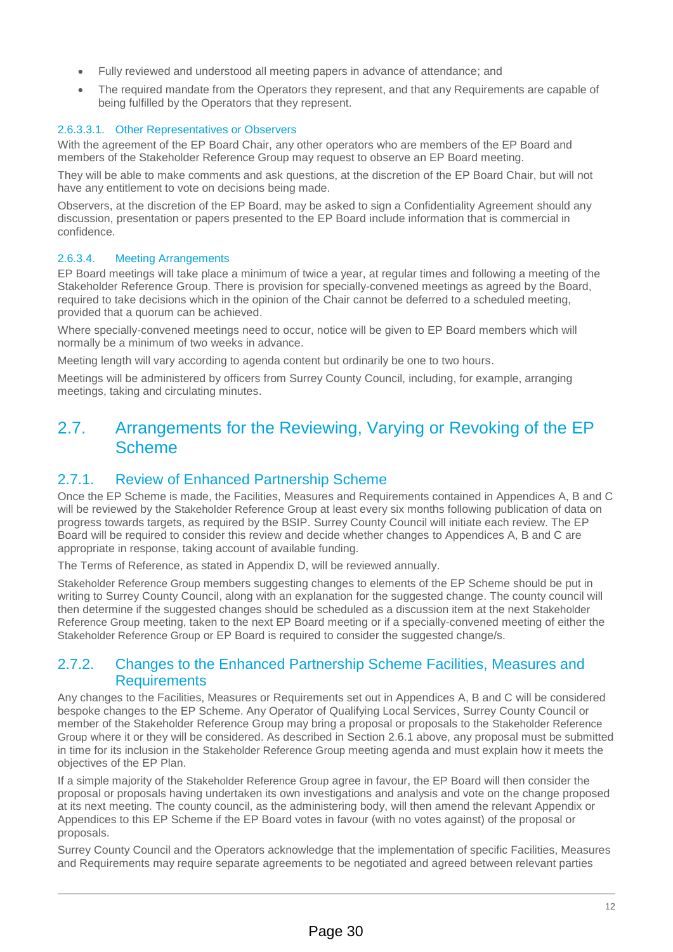- Fully reviewed and understood all meeting papers in advance of attendance; and
- The required mandate from the Operators they represent, and that any Requirements are capable of being fulfilled by the Operators that they represent.

#### 2.6.3.3.1. Other Representatives or Observers

With the agreement of the EP Board Chair, any other operators who are members of the EP Board and members of the Stakeholder Reference Group may request to observe an EP Board meeting.

They will be able to make comments and ask questions, at the discretion of the EP Board Chair, but will not have any entitlement to vote on decisions being made.

Observers, at the discretion of the EP Board, may be asked to sign a Confidentiality Agreement should any discussion, presentation or papers presented to the EP Board include information that is commercial in confidence.

#### 2.6.3.4. Meeting Arrangements

EP Board meetings will take place a minimum of twice a year, at regular times and following a meeting of the Stakeholder Reference Group. There is provision for specially-convened meetings as agreed by the Board, required to take decisions which in the opinion of the Chair cannot be deferred to a scheduled meeting, provided that a quorum can be achieved.

Where specially-convened meetings need to occur, notice will be given to EP Board members which will normally be a minimum of two weeks in advance.

Meeting length will vary according to agenda content but ordinarily be one to two hours.

Meetings will be administered by officers from Surrey County Council, including, for example, arranging meetings, taking and circulating minutes.

# 2.7. Arrangements for the Reviewing, Varying or Revoking of the EP Scheme

## 2.7.1. Review of Enhanced Partnership Scheme

Once the EP Scheme is made, the Facilities, Measures and Requirements contained in Appendices A, B and C will be reviewed by the Stakeholder Reference Group at least every six months following publication of data on progress towards targets, as required by the BSIP. Surrey County Council will initiate each review. The EP Board will be required to consider this review and decide whether changes to Appendices A, B and C are appropriate in response, taking account of available funding.

The Terms of Reference, as stated in Appendix D, will be reviewed annually.

Stakeholder Reference Group members suggesting changes to elements of the EP Scheme should be put in writing to Surrey County Council, along with an explanation for the suggested change. The county council will then determine if the suggested changes should be scheduled as a discussion item at the next Stakeholder Reference Group meeting, taken to the next EP Board meeting or if a specially-convened meeting of either the Stakeholder Reference Group or EP Board is required to consider the suggested change/s.

## 2.7.2. Changes to the Enhanced Partnership Scheme Facilities, Measures and **Requirements**

Any changes to the Facilities, Measures or Requirements set out in Appendices A, B and C will be considered bespoke changes to the EP Scheme. Any Operator of Qualifying Local Services, Surrey County Council or member of the Stakeholder Reference Group may bring a proposal or proposals to the Stakeholder Reference Group where it or they will be considered. As described in Section 2.6.1 above, any proposal must be submitted in time for its inclusion in the Stakeholder Reference Group meeting agenda and must explain how it meets the objectives of the EP Plan.

If a simple majority of the Stakeholder Reference Group agree in favour, the EP Board will then consider the proposal or proposals having undertaken its own investigations and analysis and vote on the change proposed at its next meeting. The county council, as the administering body, will then amend the relevant Appendix or Appendices to this EP Scheme if the EP Board votes in favour (with no votes against) of the proposal or proposals.

Surrey County Council and the Operators acknowledge that the implementation of specific Facilities, Measures and Requirements may require separate agreements to be negotiated and agreed between relevant parties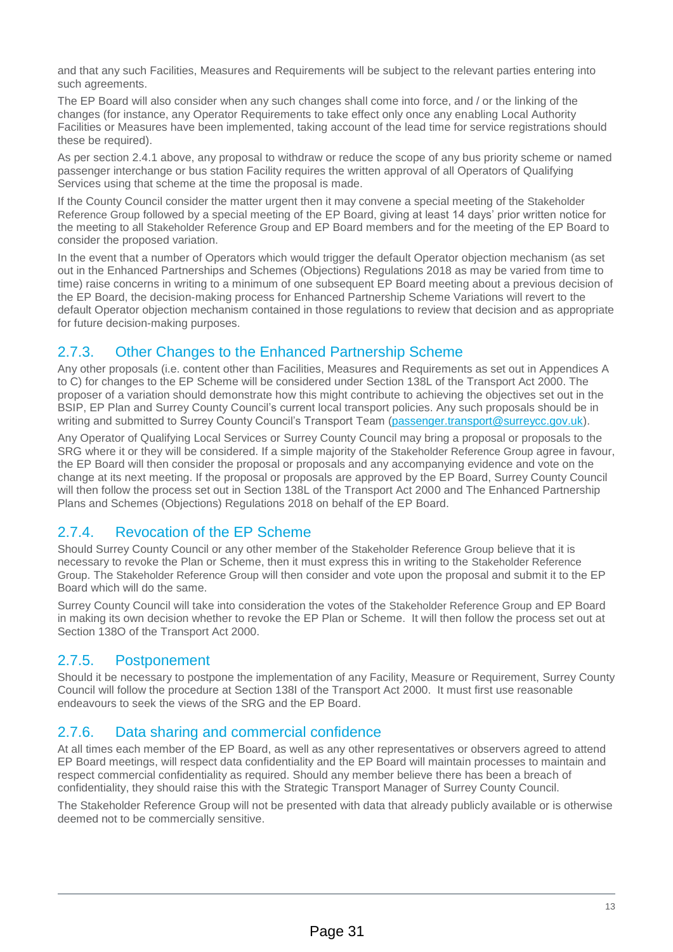and that any such Facilities, Measures and Requirements will be subject to the relevant parties entering into such agreements.

The EP Board will also consider when any such changes shall come into force, and / or the linking of the changes (for instance, any Operator Requirements to take effect only once any enabling Local Authority Facilities or Measures have been implemented, taking account of the lead time for service registrations should these be required).

As per section 2.4.1 above, any proposal to withdraw or reduce the scope of any bus priority scheme or named passenger interchange or bus station Facility requires the written approval of all Operators of Qualifying Services using that scheme at the time the proposal is made.

If the County Council consider the matter urgent then it may convene a special meeting of the Stakeholder Reference Group followed by a special meeting of the EP Board, giving at least 14 days' prior written notice for the meeting to all Stakeholder Reference Group and EP Board members and for the meeting of the EP Board to consider the proposed variation.

In the event that a number of Operators which would trigger the default Operator objection mechanism (as set out in the Enhanced Partnerships and Schemes (Objections) Regulations 2018 as may be varied from time to time) raise concerns in writing to a minimum of one subsequent EP Board meeting about a previous decision of the EP Board, the decision-making process for Enhanced Partnership Scheme Variations will revert to the default Operator objection mechanism contained in those regulations to review that decision and as appropriate for future decision-making purposes.

# 2.7.3. Other Changes to the Enhanced Partnership Scheme

Any other proposals (i.e. content other than Facilities, Measures and Requirements as set out in Appendices A to C) for changes to the EP Scheme will be considered under Section 138L of the Transport Act 2000. The proposer of a variation should demonstrate how this might contribute to achieving the objectives set out in the BSIP, EP Plan and Surrey County Council's current local transport policies. Any such proposals should be in writing and submitted to Surrey County Council's Transport Team [\(passenger.transport@surreycc.gov.uk\)](mailto:passenger.transport@surreycc.gov.uk).

Any Operator of Qualifying Local Services or Surrey County Council may bring a proposal or proposals to the SRG where it or they will be considered. If a simple majority of the Stakeholder Reference Group agree in favour, the EP Board will then consider the proposal or proposals and any accompanying evidence and vote on the change at its next meeting. If the proposal or proposals are approved by the EP Board, Surrey County Council will then follow the process set out in Section 138L of the Transport Act 2000 and The Enhanced Partnership Plans and Schemes (Objections) Regulations 2018 on behalf of the EP Board.

# 2.7.4. Revocation of the EP Scheme

Should Surrey County Council or any other member of the Stakeholder Reference Group believe that it is necessary to revoke the Plan or Scheme, then it must express this in writing to the Stakeholder Reference Group. The Stakeholder Reference Group will then consider and vote upon the proposal and submit it to the EP Board which will do the same.

Surrey County Council will take into consideration the votes of the Stakeholder Reference Group and EP Board in making its own decision whether to revoke the EP Plan or Scheme. It will then follow the process set out at Section 138O of the Transport Act 2000.

# 2.7.5. Postponement

Should it be necessary to postpone the implementation of any Facility, Measure or Requirement, Surrey County Council will follow the procedure at Section 138I of the Transport Act 2000. It must first use reasonable endeavours to seek the views of the SRG and the EP Board.

# 2.7.6. Data sharing and commercial confidence

At all times each member of the EP Board, as well as any other representatives or observers agreed to attend EP Board meetings, will respect data confidentiality and the EP Board will maintain processes to maintain and respect commercial confidentiality as required. Should any member believe there has been a breach of confidentiality, they should raise this with the Strategic Transport Manager of Surrey County Council.

The Stakeholder Reference Group will not be presented with data that already publicly available or is otherwise deemed not to be commercially sensitive.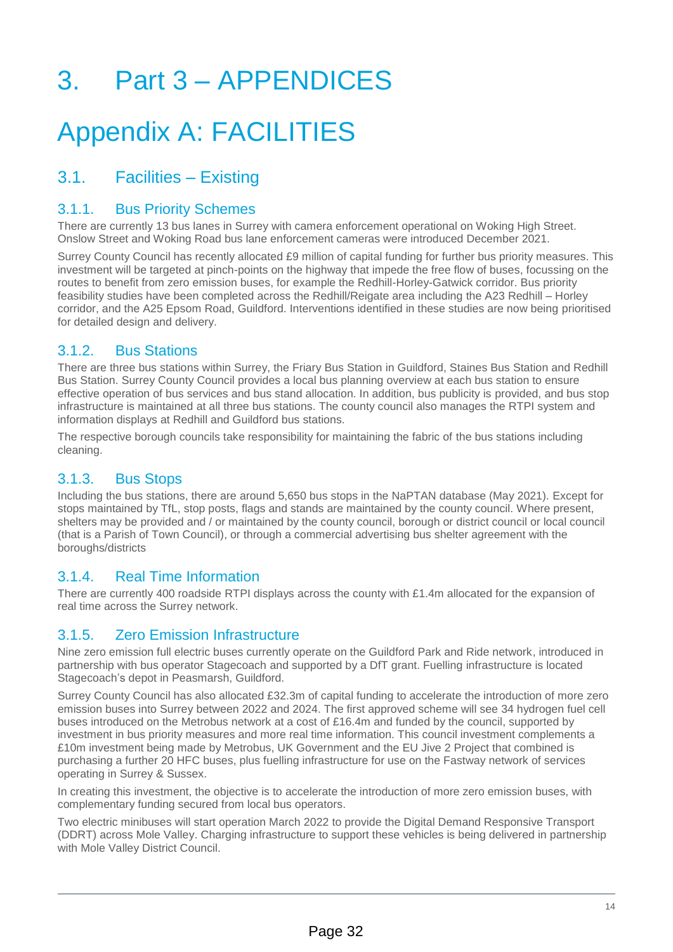# 3. Part 3 – APPENDICES

# Appendix A: FACILITIES

# 3.1. Facilities – Existing

## 3.1.1. Bus Priority Schemes

There are currently 13 bus lanes in Surrey with camera enforcement operational on Woking High Street. Onslow Street and Woking Road bus lane enforcement cameras were introduced December 2021.

Surrey County Council has recently allocated £9 million of capital funding for further bus priority measures. This investment will be targeted at pinch-points on the highway that impede the free flow of buses, focussing on the routes to benefit from zero emission buses, for example the Redhill-Horley-Gatwick corridor. Bus priority feasibility studies have been completed across the Redhill/Reigate area including the A23 Redhill – Horley corridor, and the A25 Epsom Road, Guildford. Interventions identified in these studies are now being prioritised for detailed design and delivery.

## 3.1.2. Bus Stations

There are three bus stations within Surrey, the Friary Bus Station in Guildford, Staines Bus Station and Redhill Bus Station. Surrey County Council provides a local bus planning overview at each bus station to ensure effective operation of bus services and bus stand allocation. In addition, bus publicity is provided, and bus stop infrastructure is maintained at all three bus stations. The county council also manages the RTPI system and information displays at Redhill and Guildford bus stations.

The respective borough councils take responsibility for maintaining the fabric of the bus stations including cleaning.

## 3.1.3. Bus Stops

Including the bus stations, there are around 5,650 bus stops in the NaPTAN database (May 2021). Except for stops maintained by TfL, stop posts, flags and stands are maintained by the county council. Where present, shelters may be provided and / or maintained by the county council, borough or district council or local council (that is a Parish of Town Council), or through a commercial advertising bus shelter agreement with the boroughs/districts

## 3.1.4. Real Time Information

There are currently 400 roadside RTPI displays across the county with £1.4m allocated for the expansion of real time across the Surrey network.

## 3.1.5. Zero Emission Infrastructure

Nine zero emission full electric buses currently operate on the Guildford Park and Ride network, introduced in partnership with bus operator Stagecoach and supported by a DfT grant. Fuelling infrastructure is located Stagecoach's depot in Peasmarsh, Guildford.

Surrey County Council has also allocated £32.3m of capital funding to accelerate the introduction of more zero emission buses into Surrey between 2022 and 2024. The first approved scheme will see 34 hydrogen fuel cell buses introduced on the Metrobus network at a cost of £16.4m and funded by the council, supported by investment in bus priority measures and more real time information. This council investment complements a £10m investment being made by Metrobus, UK Government and the EU Jive 2 Project that combined is purchasing a further 20 HFC buses, plus fuelling infrastructure for use on the Fastway network of services operating in Surrey & Sussex.

In creating this investment, the objective is to accelerate the introduction of more zero emission buses, with complementary funding secured from local bus operators.

Two electric minibuses will start operation March 2022 to provide the Digital Demand Responsive Transport (DDRT) across Mole Valley. Charging infrastructure to support these vehicles is being delivered in partnership with Mole Valley District Council.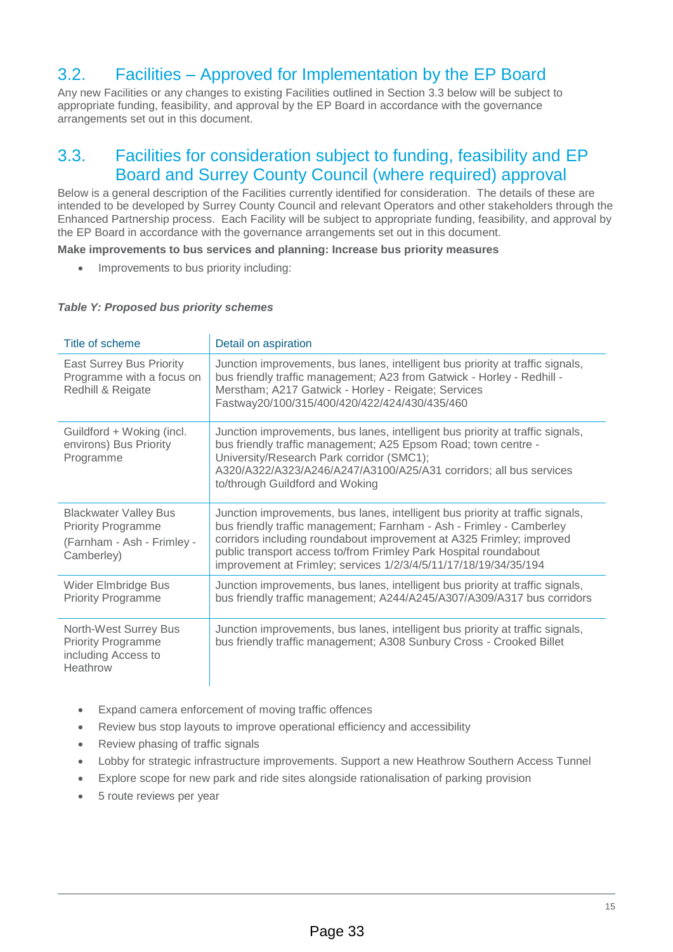# 3.2. Facilities – Approved for Implementation by the EP Board

Any new Facilities or any changes to existing Facilities outlined in Section 3.3 below will be subject to appropriate funding, feasibility, and approval by the EP Board in accordance with the governance arrangements set out in this document.

# 3.3. Facilities for consideration subject to funding, feasibility and EP Board and Surrey County Council (where required) approval

Below is a general description of the Facilities currently identified for consideration. The details of these are intended to be developed by Surrey County Council and relevant Operators and other stakeholders through the Enhanced Partnership process. Each Facility will be subject to appropriate funding, feasibility, and approval by the EP Board in accordance with the governance arrangements set out in this document.

#### **Make improvements to bus services and planning: Increase bus priority measures**

• Improvements to bus priority including:

#### *Table Y: Proposed bus priority schemes*

| Title of scheme                                                                                       | Detail on aspiration                                                                                                                                                                                                                                                                                                                                                   |
|-------------------------------------------------------------------------------------------------------|------------------------------------------------------------------------------------------------------------------------------------------------------------------------------------------------------------------------------------------------------------------------------------------------------------------------------------------------------------------------|
| <b>East Surrey Bus Priority</b><br>Programme with a focus on<br>Redhill & Reigate                     | Junction improvements, bus lanes, intelligent bus priority at traffic signals,<br>bus friendly traffic management; A23 from Gatwick - Horley - Redhill -<br>Merstham; A217 Gatwick - Horley - Reigate; Services<br>Fastway20/100/315/400/420/422/424/430/435/460                                                                                                       |
| Guildford + Woking (incl.<br>environs) Bus Priority<br>Programme                                      | Junction improvements, bus lanes, intelligent bus priority at traffic signals,<br>bus friendly traffic management; A25 Epsom Road; town centre -<br>University/Research Park corridor (SMC1);<br>A320/A322/A323/A246/A247/A3100/A25/A31 corridors; all bus services<br>to/through Guildford and Woking                                                                 |
| <b>Blackwater Valley Bus</b><br><b>Priority Programme</b><br>(Farnham - Ash - Frimley -<br>Camberley) | Junction improvements, bus lanes, intelligent bus priority at traffic signals,<br>bus friendly traffic management; Farnham - Ash - Frimley - Camberley<br>corridors including roundabout improvement at A325 Frimley; improved<br>public transport access to/from Frimley Park Hospital roundabout<br>improvement at Frimley; services 1/2/3/4/5/11/17/18/19/34/35/194 |
| Wider Elmbridge Bus<br><b>Priority Programme</b>                                                      | Junction improvements, bus lanes, intelligent bus priority at traffic signals,<br>bus friendly traffic management; A244/A245/A307/A309/A317 bus corridors                                                                                                                                                                                                              |
| North-West Surrey Bus<br><b>Priority Programme</b><br>including Access to<br>Heathrow                 | Junction improvements, bus lanes, intelligent bus priority at traffic signals,<br>bus friendly traffic management; A308 Sunbury Cross - Crooked Billet                                                                                                                                                                                                                 |

- Expand camera enforcement of moving traffic offences
- Review bus stop layouts to improve operational efficiency and accessibility
- Review phasing of traffic signals
- Lobby for strategic infrastructure improvements. Support a new Heathrow Southern Access Tunnel
- Explore scope for new park and ride sites alongside rationalisation of parking provision
- 5 route reviews per year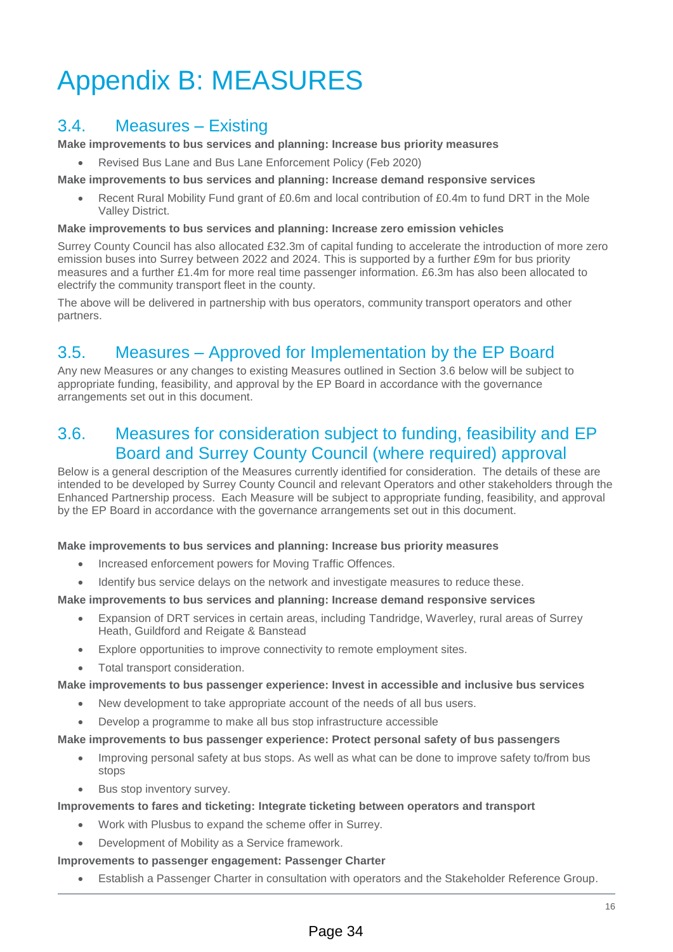# Appendix B: MEASURES

# 3.4. Measures – Existing

**Make improvements to bus services and planning: Increase bus priority measures**

• Revised Bus Lane and Bus Lane Enforcement Policy (Feb 2020)

**Make improvements to bus services and planning: Increase demand responsive services**

Recent Rural Mobility Fund grant of £0.6m and local contribution of £0.4m to fund DRT in the Mole Valley District.

#### **Make improvements to bus services and planning: Increase zero emission vehicles**

Surrey County Council has also allocated £32.3m of capital funding to accelerate the introduction of more zero emission buses into Surrey between 2022 and 2024. This is supported by a further £9m for bus priority measures and a further £1.4m for more real time passenger information. £6.3m has also been allocated to electrify the community transport fleet in the county.

The above will be delivered in partnership with bus operators, community transport operators and other partners.

# 3.5. Measures – Approved for Implementation by the EP Board

Any new Measures or any changes to existing Measures outlined in Section 3.6 below will be subject to appropriate funding, feasibility, and approval by the EP Board in accordance with the governance arrangements set out in this document.

# 3.6. Measures for consideration subject to funding, feasibility and EP Board and Surrey County Council (where required) approval

Below is a general description of the Measures currently identified for consideration. The details of these are intended to be developed by Surrey County Council and relevant Operators and other stakeholders through the Enhanced Partnership process. Each Measure will be subject to appropriate funding, feasibility, and approval by the EP Board in accordance with the governance arrangements set out in this document.

#### **Make improvements to bus services and planning: Increase bus priority measures**

- Increased enforcement powers for Moving Traffic Offences.
- Identify bus service delays on the network and investigate measures to reduce these.

### **Make improvements to bus services and planning: Increase demand responsive services**

- Expansion of DRT services in certain areas, including Tandridge, Waverley, rural areas of Surrey Heath, Guildford and Reigate & Banstead
- Explore opportunities to improve connectivity to remote employment sites.
- Total transport consideration.

#### **Make improvements to bus passenger experience: Invest in accessible and inclusive bus services**

- New development to take appropriate account of the needs of all bus users.
- Develop a programme to make all bus stop infrastructure accessible

#### **Make improvements to bus passenger experience: Protect personal safety of bus passengers**

- Improving personal safety at bus stops. As well as what can be done to improve safety to/from bus stops
- Bus stop inventory survey.

#### **Improvements to fares and ticketing: Integrate ticketing between operators and transport**

- Work with Plusbus to expand the scheme offer in Surrey.
- Development of Mobility as a Service framework.

#### **Improvements to passenger engagement: Passenger Charter**

• Establish a Passenger Charter in consultation with operators and the Stakeholder Reference Group.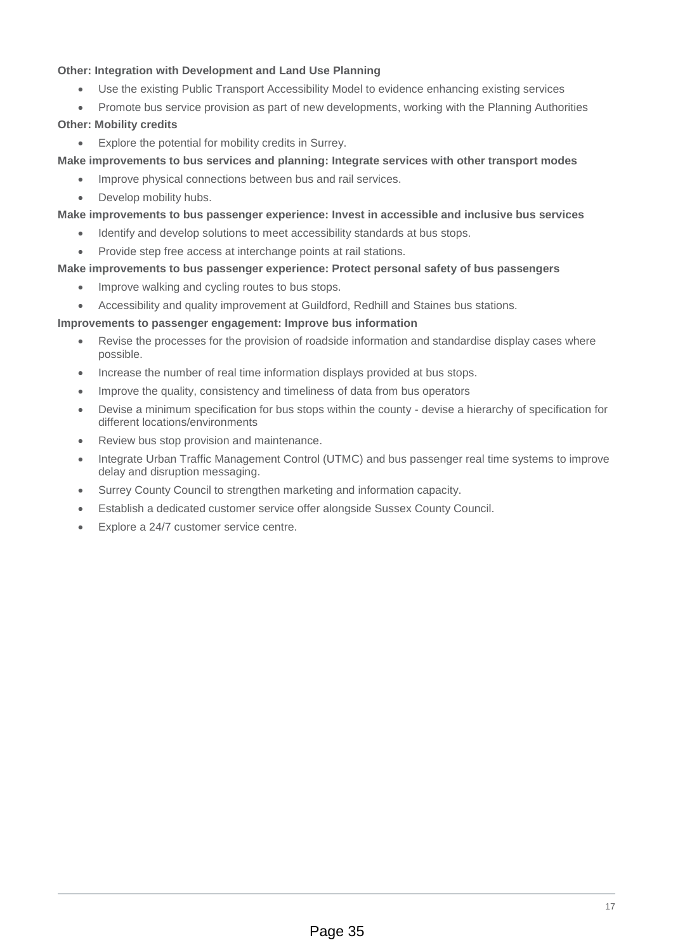### **Other: Integration with Development and Land Use Planning**

- Use the existing Public Transport Accessibility Model to evidence enhancing existing services
- Promote bus service provision as part of new developments, working with the Planning Authorities

### **Other: Mobility credits**

Explore the potential for mobility credits in Surrey.

**Make improvements to bus services and planning: Integrate services with other transport modes**

- Improve physical connections between bus and rail services.
- Develop mobility hubs.

**Make improvements to bus passenger experience: Invest in accessible and inclusive bus services**

- Identify and develop solutions to meet accessibility standards at bus stops.
- Provide step free access at interchange points at rail stations.

#### **Make improvements to bus passenger experience: Protect personal safety of bus passengers**

- Improve walking and cycling routes to bus stops.
- Accessibility and quality improvement at Guildford, Redhill and Staines bus stations.

#### **Improvements to passenger engagement: Improve bus information**

- Revise the processes for the provision of roadside information and standardise display cases where possible.
- Increase the number of real time information displays provided at bus stops.
- Improve the quality, consistency and timeliness of data from bus operators
- Devise a minimum specification for bus stops within the county devise a hierarchy of specification for different locations/environments
- Review bus stop provision and maintenance.
- Integrate Urban Traffic Management Control (UTMC) and bus passenger real time systems to improve delay and disruption messaging.
- Surrey County Council to strengthen marketing and information capacity.
- Establish a dedicated customer service offer alongside Sussex County Council.
- Explore a 24/7 customer service centre.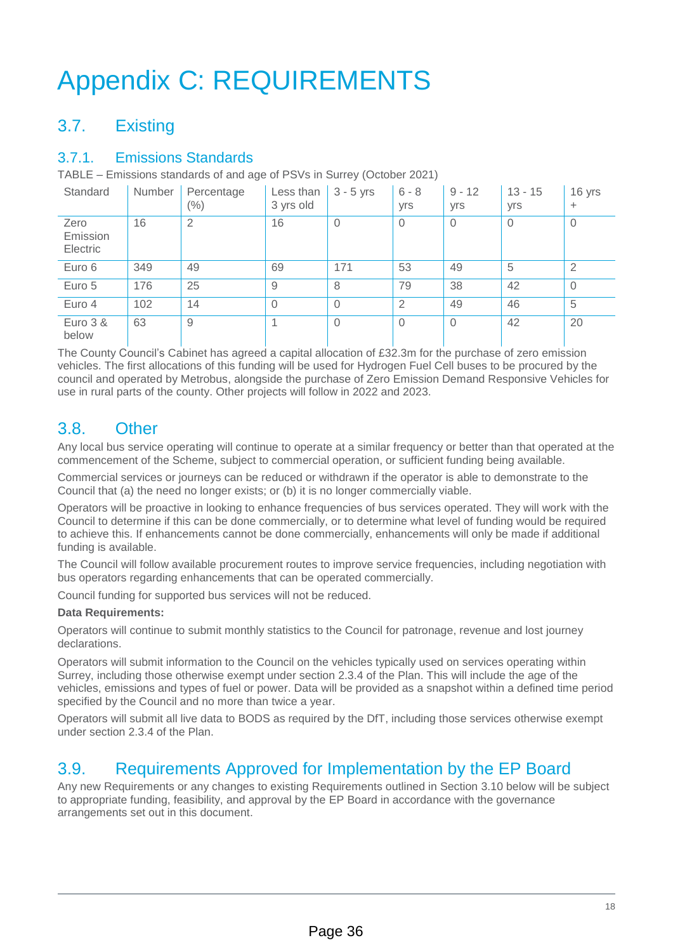# Appendix C: REQUIREMENTS

# 3.7. Existing

# 3.7.1. Emissions Standards

TABLE – Emissions standards of and age of PSVs in Surrey (October 2021)

| Standard                     | Number | Percentage<br>$(\% )$ | Less than<br>3 yrs old | $3 - 5$ yrs    | $6 - 8$<br>yrs | $9 - 12$<br>yrs | $13 - 15$<br>yrs | 16 yrs<br>$\pm$ |
|------------------------------|--------|-----------------------|------------------------|----------------|----------------|-----------------|------------------|-----------------|
| Zero<br>Emission<br>Electric | 16     | $\overline{2}$        | 16                     | $\overline{0}$ | $\overline{0}$ | $\Omega$        | $\Omega$         | $\mathbf{0}$    |
| Euro 6                       | 349    | 49                    | 69                     | 171            | 53             | 49              | 5                | 2               |
| Euro 5                       | 176    | 25                    | 9                      | 8              | 79             | 38              | 42               | 0               |
| Euro 4                       | 102    | 14                    | $\Omega$               | $\theta$       | $\overline{2}$ | 49              | 46               | 5               |
| Euro 3 &<br>below            | 63     | 9                     |                        | $\Omega$       | $\overline{0}$ | $\Omega$        | 42               | 20              |

The County Council's Cabinet has agreed a capital allocation of £32.3m for the purchase of zero emission vehicles. The first allocations of this funding will be used for Hydrogen Fuel Cell buses to be procured by the council and operated by Metrobus, alongside the purchase of Zero Emission Demand Responsive Vehicles for use in rural parts of the county. Other projects will follow in 2022 and 2023.

# 3.8. Other

Any local bus service operating will continue to operate at a similar frequency or better than that operated at the commencement of the Scheme, subject to commercial operation, or sufficient funding being available.

Commercial services or journeys can be reduced or withdrawn if the operator is able to demonstrate to the Council that (a) the need no longer exists; or (b) it is no longer commercially viable.

Operators will be proactive in looking to enhance frequencies of bus services operated. They will work with the Council to determine if this can be done commercially, or to determine what level of funding would be required to achieve this. If enhancements cannot be done commercially, enhancements will only be made if additional funding is available.

The Council will follow available procurement routes to improve service frequencies, including negotiation with bus operators regarding enhancements that can be operated commercially.

Council funding for supported bus services will not be reduced.

### **Data Requirements:**

Operators will continue to submit monthly statistics to the Council for patronage, revenue and lost journey declarations.

Operators will submit information to the Council on the vehicles typically used on services operating within Surrey, including those otherwise exempt under section 2.3.4 of the Plan. This will include the age of the vehicles, emissions and types of fuel or power. Data will be provided as a snapshot within a defined time period specified by the Council and no more than twice a year.

Operators will submit all live data to BODS as required by the DfT, including those services otherwise exempt under section 2.3.4 of the Plan.

# 3.9. Requirements Approved for Implementation by the EP Board

Any new Requirements or any changes to existing Requirements outlined in Section 3.10 below will be subject to appropriate funding, feasibility, and approval by the EP Board in accordance with the governance arrangements set out in this document.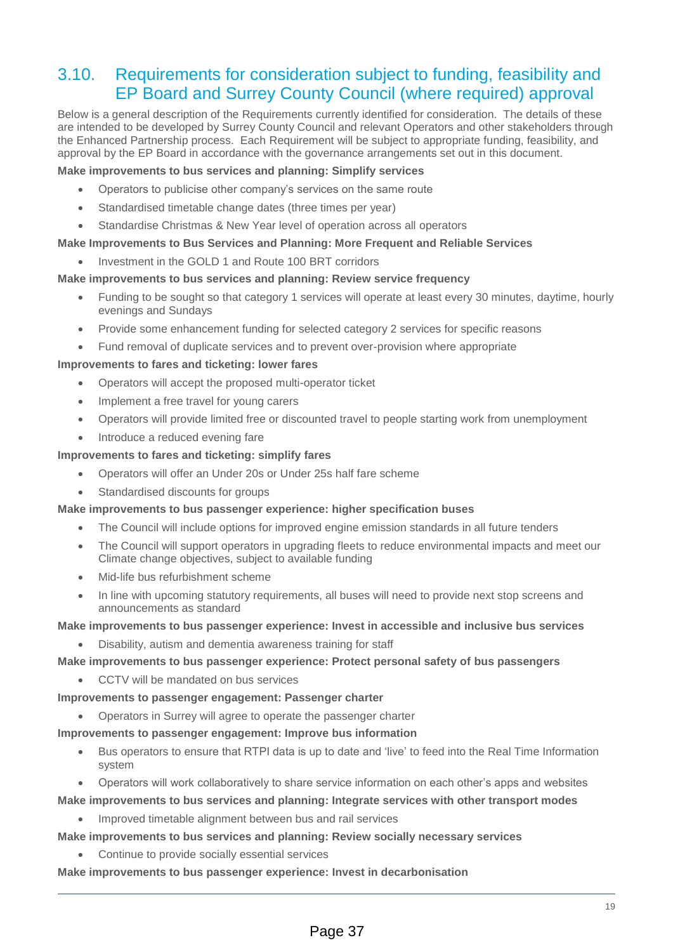# 3.10. Requirements for consideration subject to funding, feasibility and EP Board and Surrey County Council (where required) approval

Below is a general description of the Requirements currently identified for consideration. The details of these are intended to be developed by Surrey County Council and relevant Operators and other stakeholders through the Enhanced Partnership process. Each Requirement will be subject to appropriate funding, feasibility, and approval by the EP Board in accordance with the governance arrangements set out in this document.

### **Make improvements to bus services and planning: Simplify services**

- Operators to publicise other company's services on the same route
- Standardised timetable change dates (three times per year)
- Standardise Christmas & New Year level of operation across all operators

#### **Make Improvements to Bus Services and Planning: More Frequent and Reliable Services**

• Investment in the GOLD 1 and Route 100 BRT corridors

#### **Make improvements to bus services and planning: Review service frequency**

- Funding to be sought so that category 1 services will operate at least every 30 minutes, daytime, hourly evenings and Sundays
- Provide some enhancement funding for selected category 2 services for specific reasons
- Fund removal of duplicate services and to prevent over-provision where appropriate

#### **Improvements to fares and ticketing: lower fares**

- Operators will accept the proposed multi-operator ticket
- Implement a free travel for young carers
- Operators will provide limited free or discounted travel to people starting work from unemployment
- Introduce a reduced evening fare

#### **Improvements to fares and ticketing: simplify fares**

- Operators will offer an Under 20s or Under 25s half fare scheme
- Standardised discounts for groups

#### **Make improvements to bus passenger experience: higher specification buses**

- The Council will include options for improved engine emission standards in all future tenders
- The Council will support operators in upgrading fleets to reduce environmental impacts and meet our Climate change objectives, subject to available funding
- Mid-life bus refurbishment scheme
- In line with upcoming statutory requirements, all buses will need to provide next stop screens and announcements as standard

#### **Make improvements to bus passenger experience: Invest in accessible and inclusive bus services**

• Disability, autism and dementia awareness training for staff

#### **Make improvements to bus passenger experience: Protect personal safety of bus passengers**

• CCTV will be mandated on bus services

#### **Improvements to passenger engagement: Passenger charter**

• Operators in Surrey will agree to operate the passenger charter

#### **Improvements to passenger engagement: Improve bus information**

- Bus operators to ensure that RTPI data is up to date and 'live' to feed into the Real Time Information system
- Operators will work collaboratively to share service information on each other's apps and websites

#### **Make improvements to bus services and planning: Integrate services with other transport modes**

• Improved timetable alignment between bus and rail services

### **Make improvements to bus services and planning: Review socially necessary services**

Continue to provide socially essential services

**Make improvements to bus passenger experience: Invest in decarbonisation**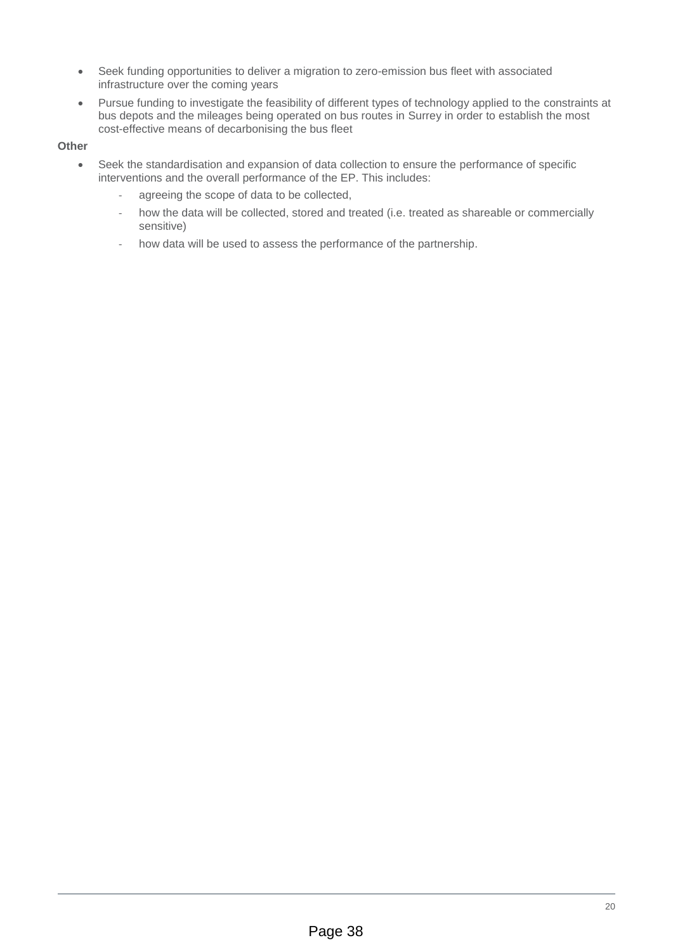- Seek funding opportunities to deliver a migration to zero-emission bus fleet with associated infrastructure over the coming years
- Pursue funding to investigate the feasibility of different types of technology applied to the constraints at bus depots and the mileages being operated on bus routes in Surrey in order to establish the most cost-effective means of decarbonising the bus fleet

### **Other**

- Seek the standardisation and expansion of data collection to ensure the performance of specific interventions and the overall performance of the EP. This includes:
	- ‐ agreeing the scope of data to be collected,
	- how the data will be collected, stored and treated (i.e. treated as shareable or commercially sensitive)
	- how data will be used to assess the performance of the partnership.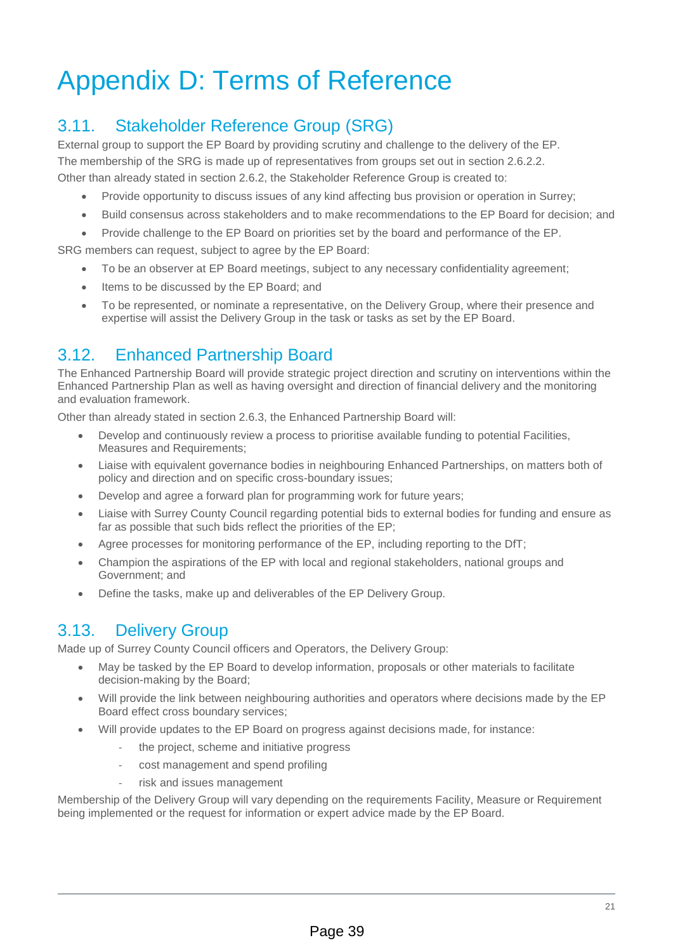# Appendix D: Terms of Reference

# 3.11. Stakeholder Reference Group (SRG)

External group to support the EP Board by providing scrutiny and challenge to the delivery of the EP. The membership of the SRG is made up of representatives from groups set out in section 2.6.2.2.

Other than already stated in section 2.6.2, the Stakeholder Reference Group is created to:

- Provide opportunity to discuss issues of any kind affecting bus provision or operation in Surrey;
- Build consensus across stakeholders and to make recommendations to the EP Board for decision; and
- Provide challenge to the EP Board on priorities set by the board and performance of the EP.

SRG members can request, subject to agree by the EP Board:

- To be an observer at EP Board meetings, subject to any necessary confidentiality agreement;
- Items to be discussed by the EP Board; and
- To be represented, or nominate a representative, on the Delivery Group, where their presence and expertise will assist the Delivery Group in the task or tasks as set by the EP Board.

# 3.12. Enhanced Partnership Board

The Enhanced Partnership Board will provide strategic project direction and scrutiny on interventions within the Enhanced Partnership Plan as well as having oversight and direction of financial delivery and the monitoring and evaluation framework.

Other than already stated in section 2.6.3, the Enhanced Partnership Board will:

- Develop and continuously review a process to prioritise available funding to potential Facilities, Measures and Requirements:
- Liaise with equivalent governance bodies in neighbouring Enhanced Partnerships, on matters both of policy and direction and on specific cross-boundary issues;
- Develop and agree a forward plan for programming work for future vears;
- Liaise with Surrey County Council regarding potential bids to external bodies for funding and ensure as far as possible that such bids reflect the priorities of the EP;
- Agree processes for monitoring performance of the EP, including reporting to the DfT;
- Champion the aspirations of the EP with local and regional stakeholders, national groups and Government; and
- Define the tasks, make up and deliverables of the EP Delivery Group.

# 3.13. Delivery Group

Made up of Surrey County Council officers and Operators, the Delivery Group:

- May be tasked by the EP Board to develop information, proposals or other materials to facilitate decision-making by the Board;
- Will provide the link between neighbouring authorities and operators where decisions made by the EP Board effect cross boundary services;
- Will provide updates to the EP Board on progress against decisions made, for instance:
	- the project, scheme and initiative progress
	- ‐ cost management and spend profiling
	- risk and issues management

Membership of the Delivery Group will vary depending on the requirements Facility, Measure or Requirement being implemented or the request for information or expert advice made by the EP Board.